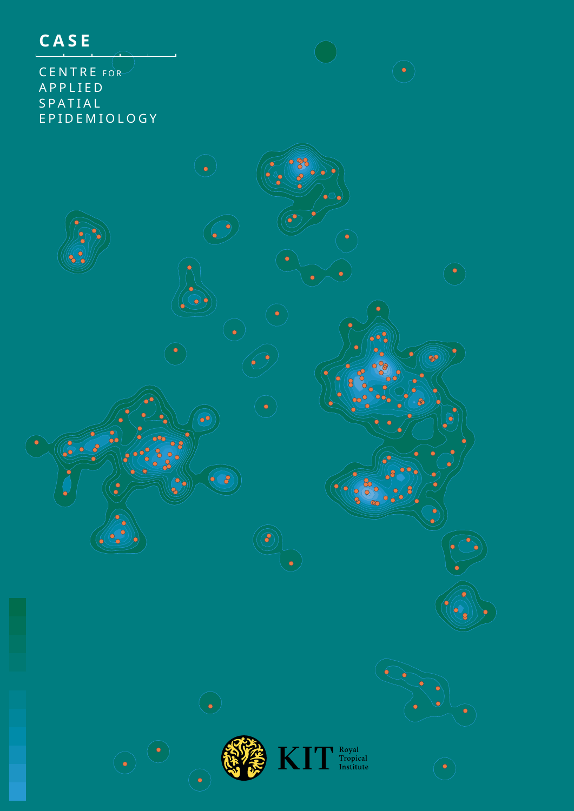

CENTRE FOR A P P L I E D S P A T I A L EPIDEMIOLOGY

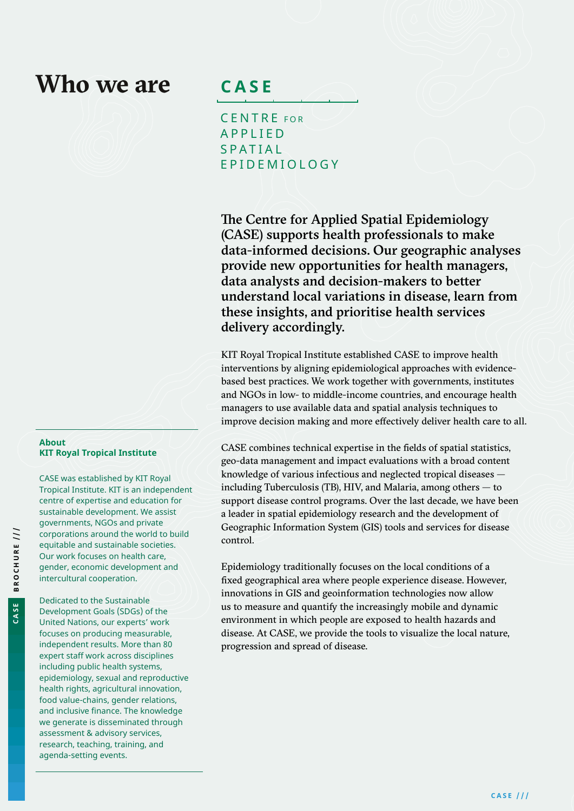# **Who we are**

**CASE**

CENTRE FOR A P P L I E D **SPATIAL** EPIDEMIOLOGY

The Centre for Applied Spatial Epidemiology (CASE) supports health professionals to make data-informed decisions. Our geographic analyses provide new opportunities for health managers, data analysts and decision-makers to better understand local variations in disease, learn from these insights, and prioritise health services delivery accordingly.

KIT Royal Tropical Institute established CASE to improve health interventions by aligning epidemiological approaches with evidencebased best practices. We work together with governments, institutes and NGOs in low- to middle-income countries, and encourage health managers to use available data and spatial analysis techniques to improve decision making and more effectively deliver health care to all.

CASE combines technical expertise in the fields of spatial statistics, geo-data management and impact evaluations with a broad content knowledge of various infectious and neglected tropical diseases including Tuberculosis (TB), HIV, and Malaria, among others — to support disease control programs. Over the last decade, we have been a leader in spatial epidemiology research and the development of Geographic Information System (GIS) tools and services for disease control.

Epidemiology traditionally focuses on the local conditions of a fixed geographical area where people experience disease. However, innovations in GIS and geoinformation technologies now allow us to measure and quantify the increasingly mobile and dynamic environment in which people are exposed to health hazards and disease. At CASE, we provide the tools to visualize the local nature, progression and spread of disease.

#### **About KIT Royal Tropical Institute**

CASE was established by KIT Royal Tropical Institute. KIT is an independent centre of expertise and education for sustainable development. We assist governments, NGOs and private corporations around the world to build equitable and sustainable societies. Our work focuses on health care, gender, economic development and intercultural cooperation.

Dedicated to the Sustainable Development Goals (SDGs) of the United Nations, our experts' work focuses on producing measurable, independent results. More than 80 expert staff work across disciplines including public health systems, epidemiology, sexual and reproductive health rights, agricultural innovation, food value-chains, gender relations, and inclusive finance. The knowledge we generate is disseminated through assessment & advisory services, research, teaching, training, and

agenda-setting events.

**CASE**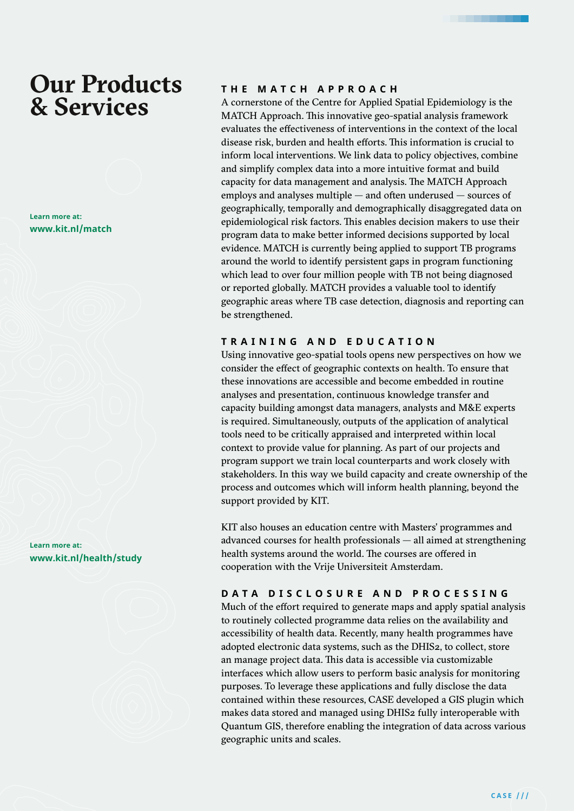# **Our Products & Services**

**Learn more at: www.kit.nl/match**

**Learn more at: www.kit.nl/health/study**

### **THE MATCH APPROACH**

A cornerstone of the Centre for Applied Spatial Epidemiology is the MATCH Approach. This innovative geo-spatial analysis framework evaluates the effectiveness of interventions in the context of the local disease risk, burden and health efforts. This information is crucial to inform local interventions. We link data to policy objectives, combine and simplify complex data into a more intuitive format and build capacity for data management and analysis. The MATCH Approach employs and analyses multiple — and often underused — sources of geographically, temporally and demographically disaggregated data on epidemiological risk factors. This enables decision makers to use their program data to make better informed decisions supported by local evidence. MATCH is currently being applied to support TB programs around the world to identify persistent gaps in program functioning which lead to over four million people with TB not being diagnosed or reported globally. MATCH provides a valuable tool to identify geographic areas where TB case detection, diagnosis and reporting can be strengthened.

### **TRAINING AND EDUCATION**

Using innovative geo-spatial tools opens new perspectives on how we consider the effect of geographic contexts on health. To ensure that these innovations are accessible and become embedded in routine analyses and presentation, continuous knowledge transfer and capacity building amongst data managers, analysts and M&E experts is required. Simultaneously, outputs of the application of analytical tools need to be critically appraised and interpreted within local context to provide value for planning. As part of our projects and program support we train local counterparts and work closely with stakeholders. In this way we build capacity and create ownership of the process and outcomes which will inform health planning, beyond the support provided by KIT.

KIT also houses an education centre with Masters' programmes and advanced courses for health professionals — all aimed at strengthening health systems around the world. The courses are offered in cooperation with the Vrije Universiteit Amsterdam.

### **DATA DISCLOSURE AND PROCESSING**

Much of the effort required to generate maps and apply spatial analysis to routinely collected programme data relies on the availability and accessibility of health data. Recently, many health programmes have adopted electronic data systems, such as the DHIS2, to collect, store an manage project data. This data is accessible via customizable interfaces which allow users to perform basic analysis for monitoring purposes. To leverage these applications and fully disclose the data contained within these resources, CASE developed a GIS plugin which makes data stored and managed using DHIS2 fully interoperable with Quantum GIS, therefore enabling the integration of data across various geographic units and scales.